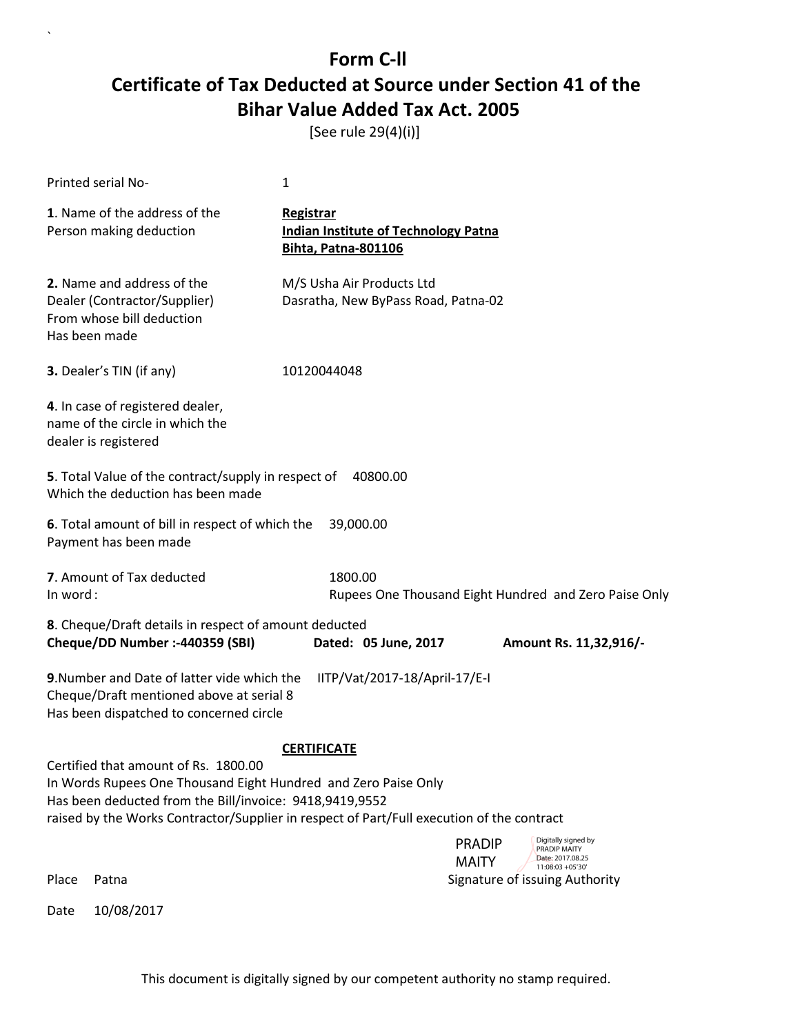[See rule 29(4)(i)]

|               | Printed serial No-                                                                                                                                                                                                                                             | 1                  |                                                                           |                               |                                                         |
|---------------|----------------------------------------------------------------------------------------------------------------------------------------------------------------------------------------------------------------------------------------------------------------|--------------------|---------------------------------------------------------------------------|-------------------------------|---------------------------------------------------------|
|               | 1. Name of the address of the<br>Person making deduction                                                                                                                                                                                                       | <b>Registrar</b>   | <b>Indian Institute of Technology Patna</b><br><b>Bihta, Patna-801106</b> |                               |                                                         |
| Has been made | 2. Name and address of the<br>Dealer (Contractor/Supplier)<br>From whose bill deduction                                                                                                                                                                        |                    | M/S Usha Air Products Ltd<br>Dasratha, New ByPass Road, Patna-02          |                               |                                                         |
|               | 3. Dealer's TIN (if any)                                                                                                                                                                                                                                       | 10120044048        |                                                                           |                               |                                                         |
|               | 4. In case of registered dealer,<br>name of the circle in which the<br>dealer is registered                                                                                                                                                                    |                    |                                                                           |                               |                                                         |
|               | 5. Total Value of the contract/supply in respect of<br>40800.00<br>Which the deduction has been made                                                                                                                                                           |                    |                                                                           |                               |                                                         |
|               | 6. Total amount of bill in respect of which the<br>Payment has been made                                                                                                                                                                                       |                    | 39,000.00                                                                 |                               |                                                         |
| In word:      | 7. Amount of Tax deducted                                                                                                                                                                                                                                      |                    | 1800.00                                                                   |                               | Rupees One Thousand Eight Hundred and Zero Paise Only   |
|               | 8. Cheque/Draft details in respect of amount deducted<br>Cheque/DD Number :- 440359 (SBI)                                                                                                                                                                      |                    | Dated: 05 June, 2017                                                      |                               | Amount Rs. 11,32,916/-                                  |
|               | 9. Number and Date of latter vide which the<br>Cheque/Draft mentioned above at serial 8<br>Has been dispatched to concerned circle                                                                                                                             |                    | IITP/Vat/2017-18/April-17/E-I                                             |                               |                                                         |
|               |                                                                                                                                                                                                                                                                | <b>CERTIFICATE</b> |                                                                           |                               |                                                         |
|               | Certified that amount of Rs. 1800.00<br>In Words Rupees One Thousand Eight Hundred and Zero Paise Only<br>Has been deducted from the Bill/invoice: 9418,9419,9552<br>raised by the Works Contractor/Supplier in respect of Part/Full execution of the contract |                    |                                                                           |                               |                                                         |
|               |                                                                                                                                                                                                                                                                |                    |                                                                           | <b>PRADIP</b><br><b>MAITY</b> | Digitally signed by<br>PRADIP MAITY<br>Date: 2017.08.25 |
| Place         | Patna                                                                                                                                                                                                                                                          |                    |                                                                           |                               | 11:08:03 +05'30'<br>Signature of issuing Authority      |
| Date          | 10/08/2017                                                                                                                                                                                                                                                     |                    |                                                                           |                               |                                                         |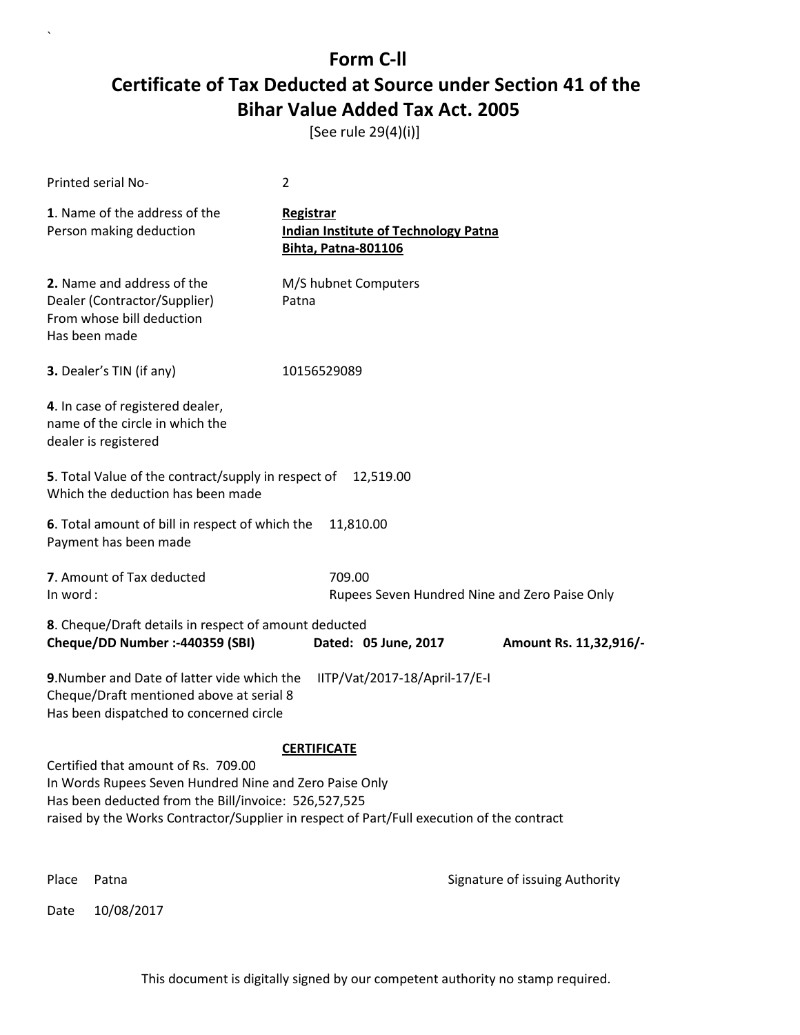[See rule 29(4)(i)]

|          | Printed serial No-                                                                                                                                                                                                                                 | 2                  |                                                                           |               |                                                         |
|----------|----------------------------------------------------------------------------------------------------------------------------------------------------------------------------------------------------------------------------------------------------|--------------------|---------------------------------------------------------------------------|---------------|---------------------------------------------------------|
|          | 1. Name of the address of the<br>Person making deduction                                                                                                                                                                                           | Registrar          | <b>Indian Institute of Technology Patna</b><br><b>Bihta, Patna-801106</b> |               |                                                         |
|          | 2. Name and address of the<br>Dealer (Contractor/Supplier)<br>From whose bill deduction<br>Has been made                                                                                                                                           | Patna              | M/S hubnet Computers                                                      |               |                                                         |
|          | 3. Dealer's TIN (if any)                                                                                                                                                                                                                           | 10156529089        |                                                                           |               |                                                         |
|          | 4. In case of registered dealer,<br>name of the circle in which the<br>dealer is registered                                                                                                                                                        |                    |                                                                           |               |                                                         |
|          | 5. Total Value of the contract/supply in respect of<br>Which the deduction has been made                                                                                                                                                           |                    | 12,519.00                                                                 |               |                                                         |
|          | 6. Total amount of bill in respect of which the<br>Payment has been made                                                                                                                                                                           |                    | 11,810.00                                                                 |               |                                                         |
| In word: | 7. Amount of Tax deducted                                                                                                                                                                                                                          |                    | 709.00<br>Rupees Seven Hundred Nine and Zero Paise Only                   |               |                                                         |
|          | 8. Cheque/Draft details in respect of amount deducted<br>Cheque/DD Number :- 440359 (SBI)                                                                                                                                                          |                    | Dated: 05 June, 2017                                                      |               | Amount Rs. 11,32,916/-                                  |
|          | 9. Number and Date of latter vide which the<br>Cheque/Draft mentioned above at serial 8<br>Has been dispatched to concerned circle                                                                                                                 |                    | IITP/Vat/2017-18/April-17/E-I                                             |               |                                                         |
|          |                                                                                                                                                                                                                                                    | <b>CERTIFICATE</b> |                                                                           |               |                                                         |
|          | Certified that amount of Rs. 709.00<br>In Words Rupees Seven Hundred Nine and Zero Paise Only<br>Has been deducted from the Bill/invoice: 526,527,525<br>raised by the Works Contractor/Supplier in respect of Part/Full execution of the contract |                    |                                                                           |               |                                                         |
|          |                                                                                                                                                                                                                                                    |                    |                                                                           | <b>PRADIP</b> | Digitally signed by<br>PRADIP MAITY<br>Date: 2017.08.25 |
| Place    | Patna                                                                                                                                                                                                                                              |                    |                                                                           | <b>MAITY</b>  | 11:08:31 +05'30"<br>Signature of issuing Authority      |
| Date     | 10/08/2017                                                                                                                                                                                                                                         |                    |                                                                           |               |                                                         |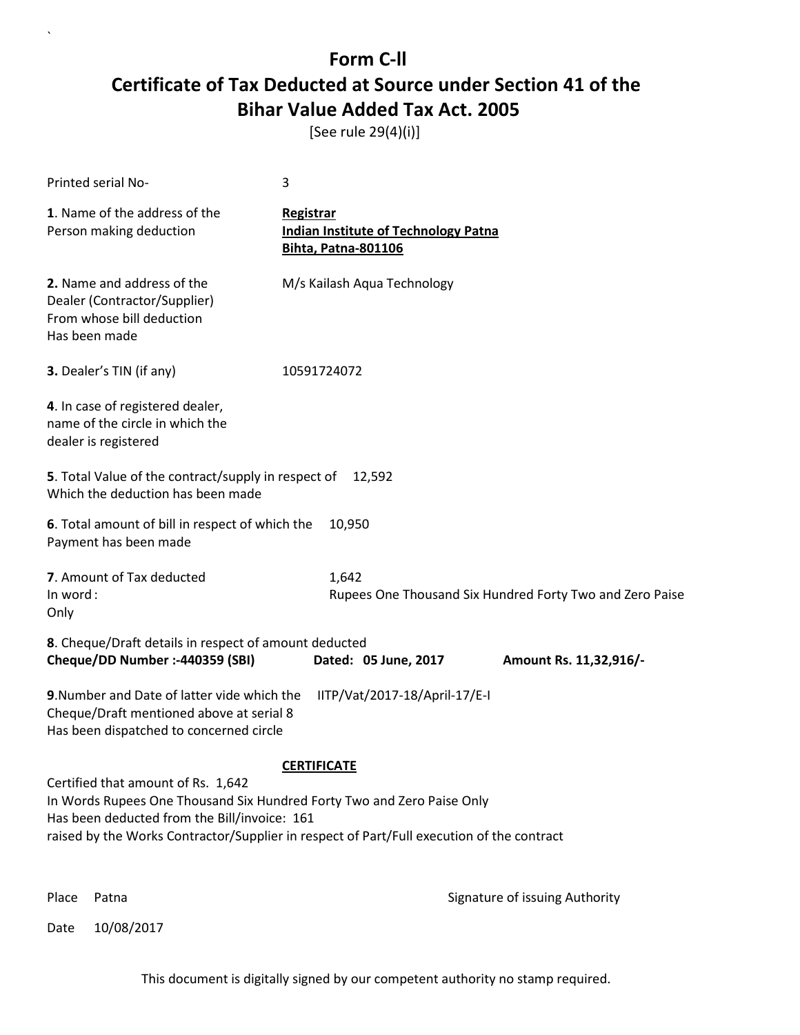[See rule 29(4)(i)]

| Printed serial No-                                                                                                                                           | 3                                                                                                                                                                                                         |
|--------------------------------------------------------------------------------------------------------------------------------------------------------------|-----------------------------------------------------------------------------------------------------------------------------------------------------------------------------------------------------------|
| 1. Name of the address of the<br>Person making deduction                                                                                                     | <b>Registrar</b><br><b>Indian Institute of Technology Patna</b><br><b>Bihta, Patna-801106</b>                                                                                                             |
| 2. Name and address of the<br>Dealer (Contractor/Supplier)<br>From whose bill deduction<br>Has been made                                                     | M/s Kailash Aqua Technology                                                                                                                                                                               |
| 3. Dealer's TIN (if any)                                                                                                                                     | 10591724072                                                                                                                                                                                               |
| 4. In case of registered dealer,<br>name of the circle in which the<br>dealer is registered                                                                  |                                                                                                                                                                                                           |
| 5. Total Value of the contract/supply in respect of<br>Which the deduction has been made                                                                     | 12,592                                                                                                                                                                                                    |
| 6. Total amount of bill in respect of which the<br>Payment has been made                                                                                     | 10,950                                                                                                                                                                                                    |
| 7. Amount of Tax deducted<br>In word:<br>Only                                                                                                                | 1,642<br>Rupees One Thousand Six Hundred Forty Two and Zero Paise                                                                                                                                         |
| 8. Cheque/Draft details in respect of amount deducted<br>Cheque/DD Number :- 440359 (SBI)                                                                    | Dated: 05 June, 2017<br>Amount Rs. 11,32,916/-                                                                                                                                                            |
| 9. Number and Date of latter vide which the<br>Cheque/Draft mentioned above at serial 8<br>Has been dispatched to concerned circle                           | IITP/Vat/2017-18/April-17/E-I                                                                                                                                                                             |
|                                                                                                                                                              | <b>CERTIFICATE</b>                                                                                                                                                                                        |
| Certified that amount of Rs. 1,642<br>In Words Rupees One Thousand Six Hundred Forty Two and Zero Paise Only<br>Has been deducted from the Bill/invoice: 161 | raised by the Works Contractor/Supplier in respect of Part/Full execution of the contract<br>Digitally signed by<br><b>PRADIP</b><br>PRADIP MAITY<br>Date: 2017.08.25<br><b>MAITY</b><br>11:08:48 +05'30' |
| Place<br>Patna                                                                                                                                               | Signature of issuing Authority                                                                                                                                                                            |
| 10/08/2017<br>Date                                                                                                                                           |                                                                                                                                                                                                           |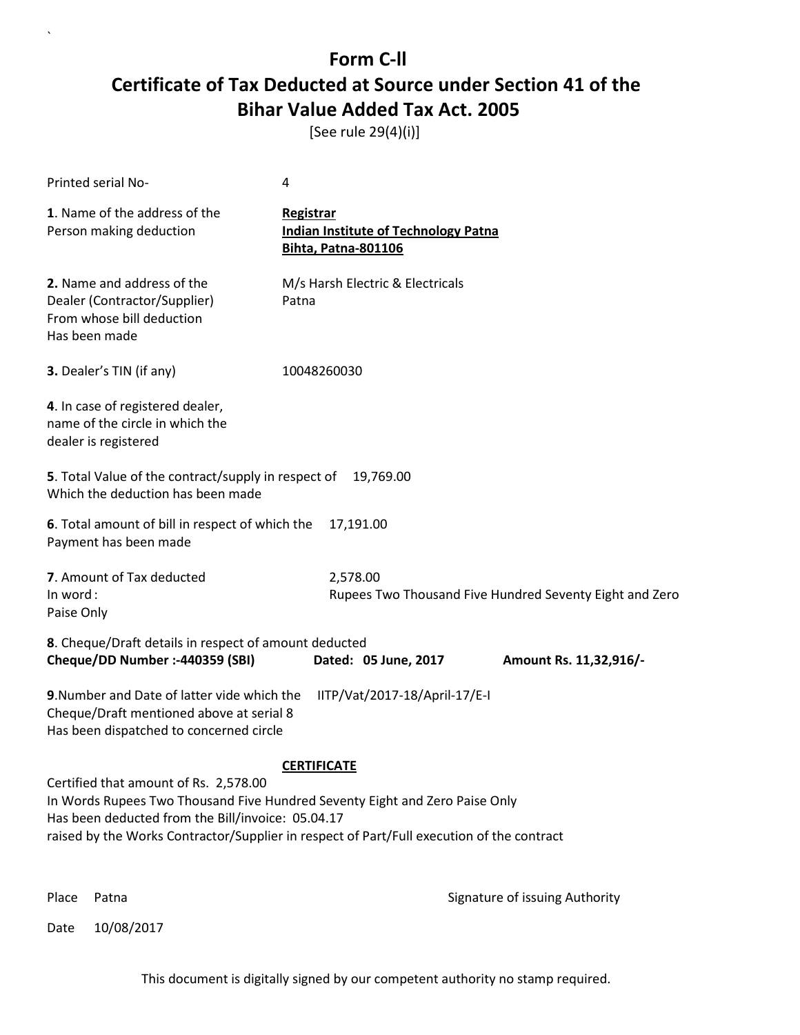[See rule 29(4)(i)]

| Printed serial No-                                                                                                                                                                                                                                                                                                                                                       | 4                                                                                             |  |
|--------------------------------------------------------------------------------------------------------------------------------------------------------------------------------------------------------------------------------------------------------------------------------------------------------------------------------------------------------------------------|-----------------------------------------------------------------------------------------------|--|
| 1. Name of the address of the<br>Person making deduction                                                                                                                                                                                                                                                                                                                 | <b>Registrar</b><br><b>Indian Institute of Technology Patna</b><br><b>Bihta, Patna-801106</b> |  |
| 2. Name and address of the<br>Dealer (Contractor/Supplier)<br>From whose bill deduction<br>Has been made                                                                                                                                                                                                                                                                 | M/s Harsh Electric & Electricals<br>Patna                                                     |  |
| 3. Dealer's TIN (if any)                                                                                                                                                                                                                                                                                                                                                 | 10048260030                                                                                   |  |
| 4. In case of registered dealer,<br>name of the circle in which the<br>dealer is registered                                                                                                                                                                                                                                                                              |                                                                                               |  |
| 5. Total Value of the contract/supply in respect of<br>Which the deduction has been made                                                                                                                                                                                                                                                                                 | 19,769.00                                                                                     |  |
| 6. Total amount of bill in respect of which the<br>Payment has been made                                                                                                                                                                                                                                                                                                 | 17,191.00                                                                                     |  |
| 7. Amount of Tax deducted<br>In word:<br>Paise Only                                                                                                                                                                                                                                                                                                                      | 2,578.00<br>Rupees Two Thousand Five Hundred Seventy Eight and Zero                           |  |
| 8. Cheque/Draft details in respect of amount deducted<br>Cheque/DD Number :- 440359 (SBI)                                                                                                                                                                                                                                                                                | Dated: 05 June, 2017<br>Amount Rs. 11,32,916/-                                                |  |
| 9. Number and Date of latter vide which the<br>Cheque/Draft mentioned above at serial 8<br>Has been dispatched to concerned circle                                                                                                                                                                                                                                       | IITP/Vat/2017-18/April-17/E-I                                                                 |  |
| <b>CERTIFICATE</b><br>Certified that amount of Rs. 2,578.00<br>In Words Rupees Two Thousand Five Hundred Seventy Eight and Zero Paise Only<br>Has been deducted from the Bill/invoice: 05.04.17<br>raised by the Works Contractor/Supplier in respect of Part/Full execution of the contract<br>Digitally signed by<br><b>PRADIP</b><br>PRADIP MAITY<br>Date: 2017.08.25 |                                                                                               |  |
| Place<br>Patna                                                                                                                                                                                                                                                                                                                                                           | <b>MAITY</b><br>11:09:01 +05'30'<br>Signature of issuing Authority                            |  |

Date 10/08/2017

 $\overline{\phantom{a}}$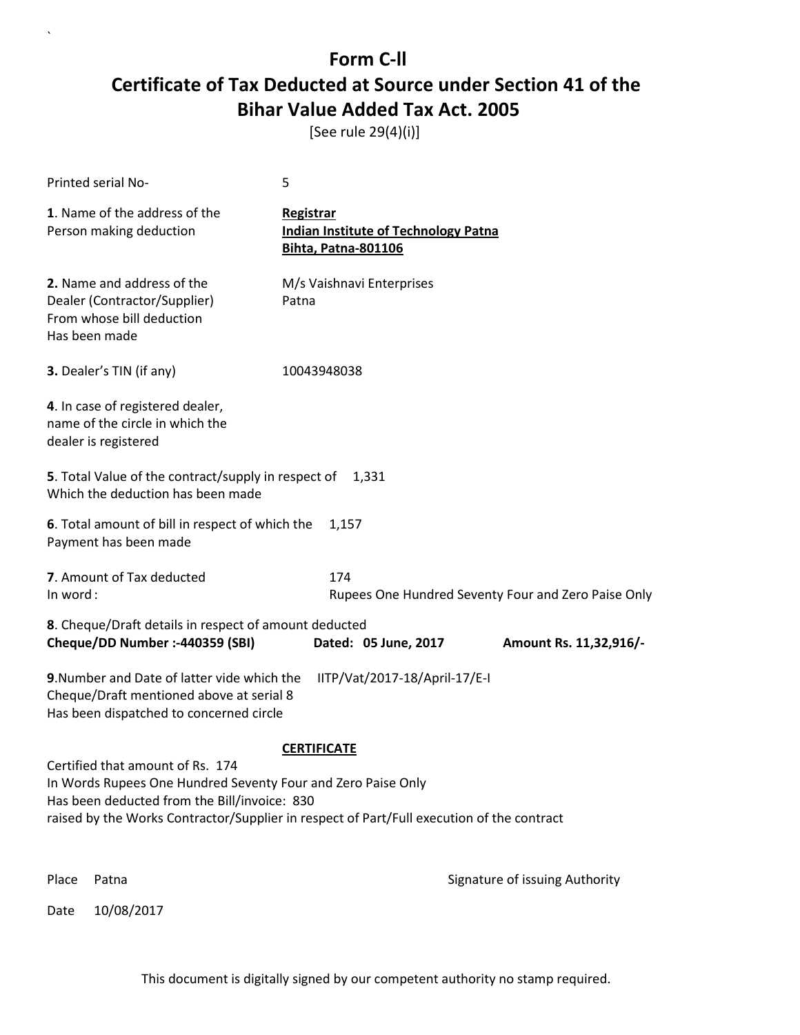[See rule 29(4)(i)]

| Printed serial No-                                                                                                                               | 5                                                                                         |  |  |  |
|--------------------------------------------------------------------------------------------------------------------------------------------------|-------------------------------------------------------------------------------------------|--|--|--|
| 1. Name of the address of the<br>Person making deduction                                                                                         | Registrar<br><b>Indian Institute of Technology Patna</b><br><b>Bihta, Patna-801106</b>    |  |  |  |
| 2. Name and address of the<br>Dealer (Contractor/Supplier)<br>From whose bill deduction<br>Has been made                                         | M/s Vaishnavi Enterprises<br>Patna                                                        |  |  |  |
| 3. Dealer's TIN (if any)                                                                                                                         | 10043948038                                                                               |  |  |  |
| 4. In case of registered dealer,<br>name of the circle in which the<br>dealer is registered                                                      |                                                                                           |  |  |  |
| 5. Total Value of the contract/supply in respect of<br>1.331<br>Which the deduction has been made                                                |                                                                                           |  |  |  |
| 6. Total amount of bill in respect of which the<br>Payment has been made                                                                         | 1,157                                                                                     |  |  |  |
| 7. Amount of Tax deducted<br>In word:                                                                                                            | 174<br>Rupees One Hundred Seventy Four and Zero Paise Only                                |  |  |  |
| 8. Cheque/Draft details in respect of amount deducted                                                                                            |                                                                                           |  |  |  |
| Cheque/DD Number :- 440359 (SBI)                                                                                                                 | Dated: 05 June, 2017<br>Amount Rs. 11,32,916/-                                            |  |  |  |
| 9. Number and Date of latter vide which the<br>Cheque/Draft mentioned above at serial 8<br>Has been dispatched to concerned circle               | IITP/Vat/2017-18/April-17/E-I                                                             |  |  |  |
|                                                                                                                                                  | <b>CERTIFICATE</b>                                                                        |  |  |  |
| Certified that amount of Rs. 174<br>In Words Rupees One Hundred Seventy Four and Zero Paise Only<br>Has been deducted from the Bill/invoice: 830 | raised by the Works Contractor/Supplier in respect of Part/Full execution of the contract |  |  |  |
|                                                                                                                                                  | Digitally signed by<br><b>PRADIP</b><br>PRADIP MAITY                                      |  |  |  |
| Place<br>Patna                                                                                                                                   | Date: 2017.08.25<br><b>MAITY</b><br>11:09:17 +05'30'<br>Signature of issuing Authority    |  |  |  |
| 10/08/2017<br>Date                                                                                                                               |                                                                                           |  |  |  |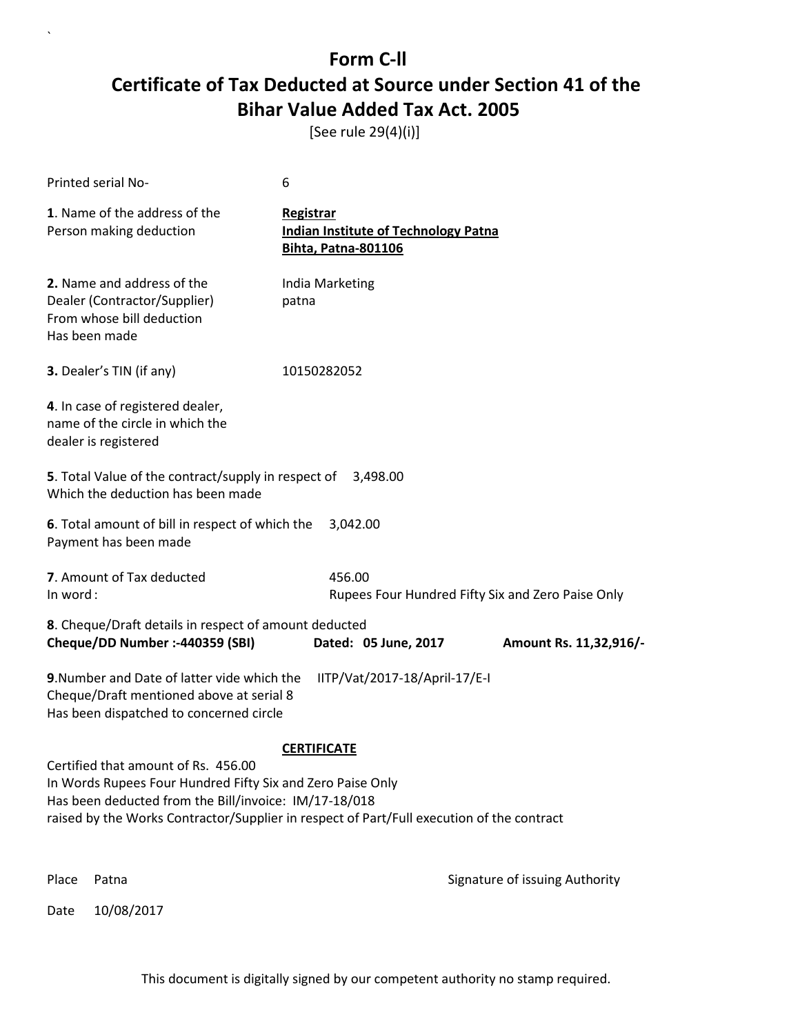[See rule 29(4)(i)]

 $\overline{\phantom{a}}$ 

| Printed serial No-                                                                                                                                         | 6                                                                                                                                                 |
|------------------------------------------------------------------------------------------------------------------------------------------------------------|---------------------------------------------------------------------------------------------------------------------------------------------------|
| 1. Name of the address of the<br>Person making deduction                                                                                                   | <b>Registrar</b><br><b>Indian Institute of Technology Patna</b><br><b>Bihta, Patna-801106</b>                                                     |
| 2. Name and address of the<br>Dealer (Contractor/Supplier)<br>From whose bill deduction<br>Has been made                                                   | India Marketing<br>patna                                                                                                                          |
| 3. Dealer's TIN (if any)                                                                                                                                   | 10150282052                                                                                                                                       |
| 4. In case of registered dealer,<br>name of the circle in which the<br>dealer is registered                                                                |                                                                                                                                                   |
| 5. Total Value of the contract/supply in respect of<br>Which the deduction has been made                                                                   | 3,498.00                                                                                                                                          |
| 6. Total amount of bill in respect of which the<br>Payment has been made                                                                                   | 3,042.00                                                                                                                                          |
| 7. Amount of Tax deducted<br>In word:                                                                                                                      | 456.00<br>Rupees Four Hundred Fifty Six and Zero Paise Only                                                                                       |
| 8. Cheque/Draft details in respect of amount deducted<br>Cheque/DD Number :- 440359 (SBI)                                                                  | Dated: 05 June, 2017<br>Amount Rs. 11,32,916/-                                                                                                    |
| 9. Number and Date of latter vide which the<br>Cheque/Draft mentioned above at serial 8<br>Has been dispatched to concerned circle                         | IITP/Vat/2017-18/April-17/E-I                                                                                                                     |
|                                                                                                                                                            | <b>CERTIFICATE</b>                                                                                                                                |
| Certified that amount of Rs. 456.00<br>In Words Rupees Four Hundred Fifty Six and Zero Paise Only<br>Has been deducted from the Bill/invoice: IM/17-18/018 | raised by the Works Contractor/Supplier in respect of Part/Full execution of the contract<br>Digitally signed by<br><b>PRADIP</b><br>PRADIP MAITY |
| Place<br>Patna                                                                                                                                             | Date: 2017.08.25<br><b>MAITY</b><br>11:09:30 +05'30'                                                                                              |
| 10/08/2017<br>Date                                                                                                                                         | Signature of issuing Authority                                                                                                                    |
|                                                                                                                                                            |                                                                                                                                                   |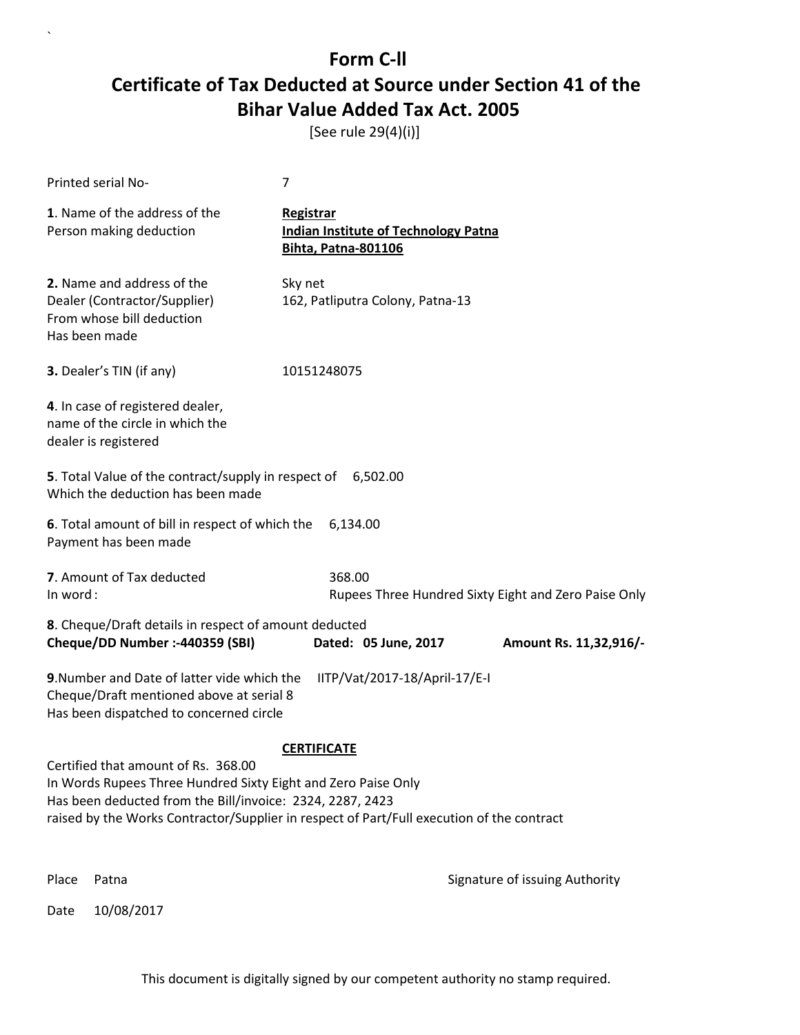[See rule 29(4)(i)]

| Printed serial No-                                                                                                                                                | 7                                                                                               |
|-------------------------------------------------------------------------------------------------------------------------------------------------------------------|-------------------------------------------------------------------------------------------------|
| 1. Name of the address of the<br>Person making deduction                                                                                                          | Registrar<br><b>Indian Institute of Technology Patna</b><br><b>Bihta, Patna-801106</b>          |
| 2. Name and address of the<br>Dealer (Contractor/Supplier)<br>From whose bill deduction<br>Has been made                                                          | Sky net<br>162, Patliputra Colony, Patna-13                                                     |
| 3. Dealer's TIN (if any)                                                                                                                                          | 10151248075                                                                                     |
| 4. In case of registered dealer,<br>name of the circle in which the<br>dealer is registered                                                                       |                                                                                                 |
| 5. Total Value of the contract/supply in respect of 6,502.00<br>Which the deduction has been made                                                                 |                                                                                                 |
| 6. Total amount of bill in respect of which the<br>Payment has been made                                                                                          | 6,134.00                                                                                        |
| 7. Amount of Tax deducted<br>In word:                                                                                                                             | 368.00<br>Rupees Three Hundred Sixty Eight and Zero Paise Only                                  |
| 8. Cheque/Draft details in respect of amount deducted<br>Cheque/DD Number :- 440359 (SBI)                                                                         | Dated: 05 June, 2017<br>Amount Rs. 11,32,916/-                                                  |
| 9. Number and Date of latter vide which the<br>Cheque/Draft mentioned above at serial 8<br>Has been dispatched to concerned circle                                | IITP/Vat/2017-18/April-17/E-I                                                                   |
|                                                                                                                                                                   | <b>CERTIFICATE</b>                                                                              |
| Certified that amount of Rs. 368.00<br>In Words Rupees Three Hundred Sixty Eight and Zero Paise Only<br>Has been deducted from the Bill/invoice: 2324, 2287, 2423 | raised by the Works Contractor/Supplier in respect of Part/Full execution of the contract       |
|                                                                                                                                                                   | Digitally signed by<br><b>PRADIP</b><br><b>PRADIP MAITY</b><br>Date: 2017.08.25<br><b>MAITY</b> |
| Place<br>Patna                                                                                                                                                    | 11:09:45 +05'30'<br>Signature of issuing Authority                                              |
| 10/08/2017<br>Date                                                                                                                                                |                                                                                                 |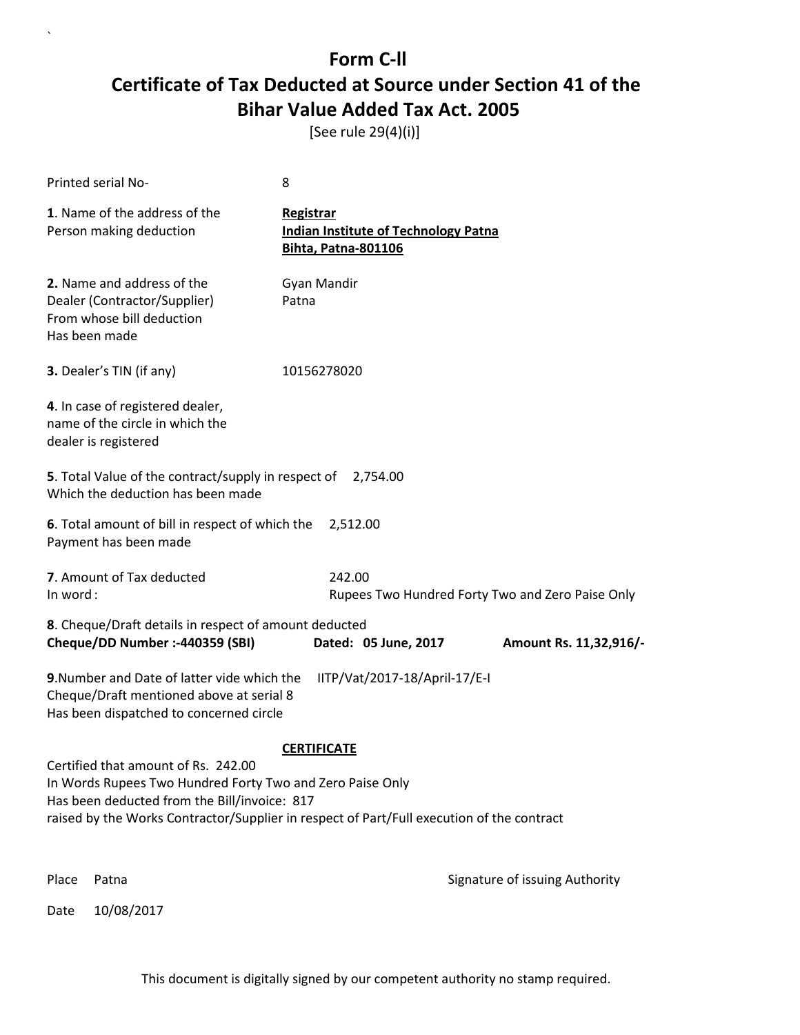[See rule 29(4)(i)]

| Printed serial No-                                                                                       |                                                                                                                                    | 8                                                                                                                                                      |                                                                                 |
|----------------------------------------------------------------------------------------------------------|------------------------------------------------------------------------------------------------------------------------------------|--------------------------------------------------------------------------------------------------------------------------------------------------------|---------------------------------------------------------------------------------|
| 1. Name of the address of the<br>Person making deduction                                                 |                                                                                                                                    | <b>Registrar</b><br><b>Indian Institute of Technology Patna</b><br><b>Bihta, Patna-801106</b>                                                          |                                                                                 |
| 2. Name and address of the<br>Dealer (Contractor/Supplier)<br>From whose bill deduction<br>Has been made |                                                                                                                                    | Gyan Mandir<br>Patna                                                                                                                                   |                                                                                 |
| 3. Dealer's TIN (if any)                                                                                 |                                                                                                                                    | 10156278020                                                                                                                                            |                                                                                 |
| 4. In case of registered dealer,<br>name of the circle in which the<br>dealer is registered              |                                                                                                                                    |                                                                                                                                                        |                                                                                 |
|                                                                                                          | 5. Total Value of the contract/supply in respect of 2,754.00<br>Which the deduction has been made                                  |                                                                                                                                                        |                                                                                 |
| Payment has been made                                                                                    | 6. Total amount of bill in respect of which the 2,512.00                                                                           |                                                                                                                                                        |                                                                                 |
| 7. Amount of Tax deducted<br>In word:                                                                    |                                                                                                                                    | 242.00                                                                                                                                                 | Rupees Two Hundred Forty Two and Zero Paise Only                                |
|                                                                                                          | 8. Cheque/Draft details in respect of amount deducted<br>Cheque/DD Number :- 440359 (SBI)                                          | Dated: 05 June, 2017                                                                                                                                   | Amount Rs. 11,32,916/-                                                          |
|                                                                                                          | 9. Number and Date of latter vide which the<br>Cheque/Draft mentioned above at serial 8<br>Has been dispatched to concerned circle | IITP/Vat/2017-18/April-17/E-I                                                                                                                          |                                                                                 |
|                                                                                                          |                                                                                                                                    | <b>CERTIFICATE</b>                                                                                                                                     |                                                                                 |
|                                                                                                          | Certified that amount of Rs. 242.00<br>Has been deducted from the Bill/invoice: 817                                                | In Words Rupees Two Hundred Forty Two and Zero Paise Only<br>raised by the Works Contractor/Supplier in respect of Part/Full execution of the contract |                                                                                 |
|                                                                                                          |                                                                                                                                    |                                                                                                                                                        | Digitally signed by<br><b>PRADIP</b><br><b>PRADIP MAITY</b><br>Date: 2017.08.25 |
| Place<br>Patna                                                                                           |                                                                                                                                    |                                                                                                                                                        | <b>MAITY</b><br>14:53:48 + 05'30'<br>Signature of issuing Authority             |
| 10/08/2017<br>Date                                                                                       |                                                                                                                                    |                                                                                                                                                        |                                                                                 |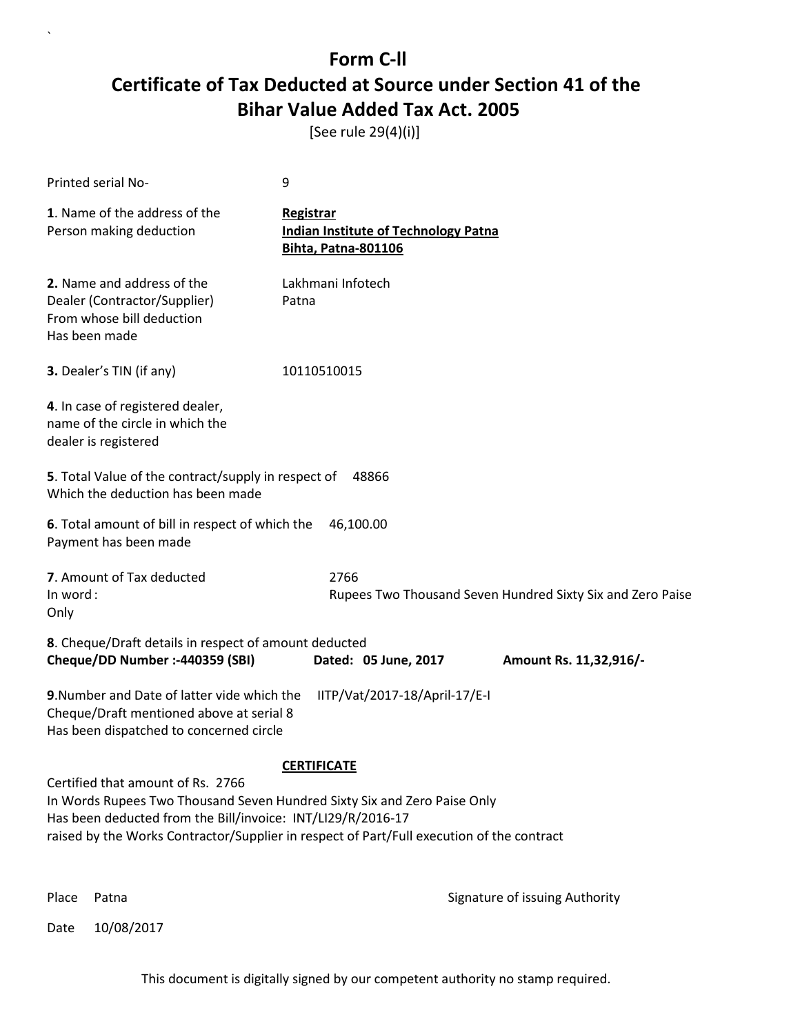[See rule 29(4)(i)]

 $\overline{\phantom{a}}$ 

| Printed serial No-                                                                                                                                                                                                                                                                                                | 9                                                                                             |  |
|-------------------------------------------------------------------------------------------------------------------------------------------------------------------------------------------------------------------------------------------------------------------------------------------------------------------|-----------------------------------------------------------------------------------------------|--|
| 1. Name of the address of the<br>Person making deduction                                                                                                                                                                                                                                                          | <b>Registrar</b><br><b>Indian Institute of Technology Patna</b><br><b>Bihta, Patna-801106</b> |  |
| 2. Name and address of the<br>Dealer (Contractor/Supplier)<br>From whose bill deduction<br>Has been made                                                                                                                                                                                                          | Lakhmani Infotech<br>Patna                                                                    |  |
| 3. Dealer's TIN (if any)                                                                                                                                                                                                                                                                                          | 10110510015                                                                                   |  |
| 4. In case of registered dealer,<br>name of the circle in which the<br>dealer is registered                                                                                                                                                                                                                       |                                                                                               |  |
| 5. Total Value of the contract/supply in respect of<br>Which the deduction has been made                                                                                                                                                                                                                          | 48866                                                                                         |  |
| 6. Total amount of bill in respect of which the<br>Payment has been made                                                                                                                                                                                                                                          | 46,100.00                                                                                     |  |
| 7. Amount of Tax deducted<br>In word:<br>Only                                                                                                                                                                                                                                                                     | 2766<br>Rupees Two Thousand Seven Hundred Sixty Six and Zero Paise                            |  |
| 8. Cheque/Draft details in respect of amount deducted<br>Cheque/DD Number :- 440359 (SBI)                                                                                                                                                                                                                         | Dated: 05 June, 2017<br>Amount Rs. 11,32,916/-                                                |  |
| 9. Number and Date of latter vide which the<br>Cheque/Draft mentioned above at serial 8<br>Has been dispatched to concerned circle                                                                                                                                                                                | IITP/Vat/2017-18/April-17/E-I                                                                 |  |
|                                                                                                                                                                                                                                                                                                                   | <b>CERTIFICATE</b>                                                                            |  |
| Certified that amount of Rs. 2766<br>In Words Rupees Two Thousand Seven Hundred Sixty Six and Zero Paise Only<br>Has been deducted from the Bill/invoice: INT/LI29/R/2016-17<br>raised by the Works Contractor/Supplier in respect of Part/Full execution of the contract<br>Digitally signed by<br><b>PRADIP</b> |                                                                                               |  |
|                                                                                                                                                                                                                                                                                                                   | PRADIP MAITY<br>Date: 2017.08.25<br><b>MAITY</b><br>14:54:06 +05'30'                          |  |
| Place<br>Patna                                                                                                                                                                                                                                                                                                    | Signature of issuing Authority                                                                |  |
| 10/08/2017<br>Date                                                                                                                                                                                                                                                                                                |                                                                                               |  |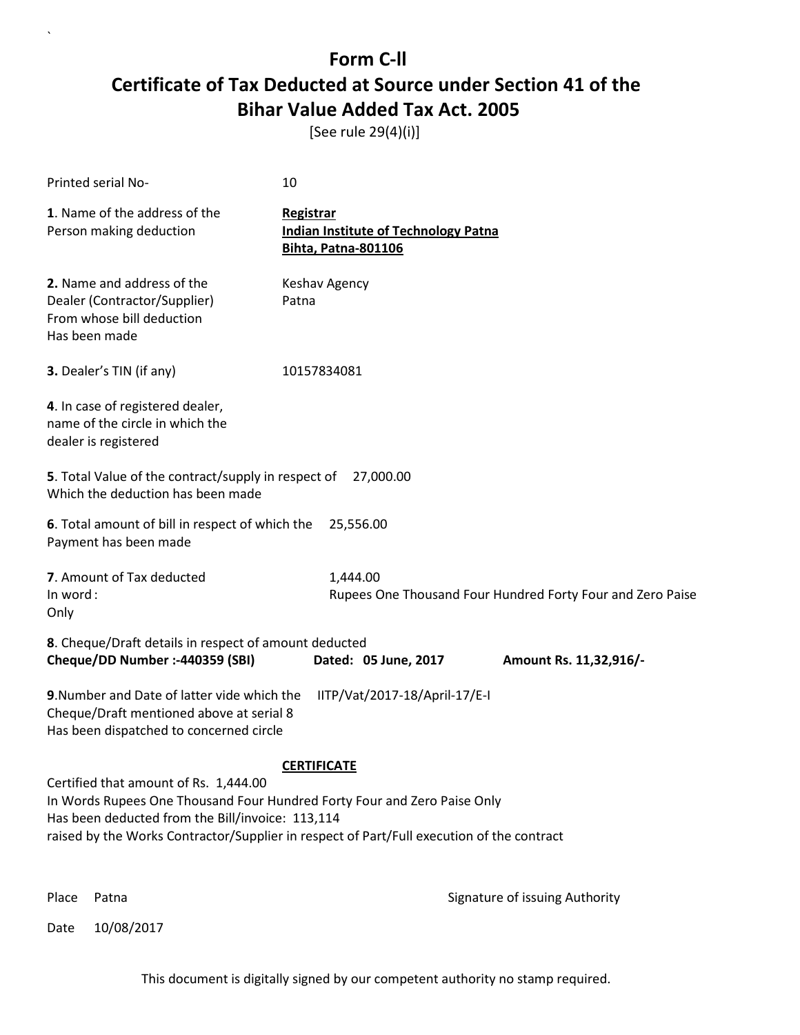[See rule 29(4)(i)]

 $\overline{\phantom{a}}$ 

| Printed serial No-                                                                                                                                                    | 10                                                                                                                                |  |  |  |
|-----------------------------------------------------------------------------------------------------------------------------------------------------------------------|-----------------------------------------------------------------------------------------------------------------------------------|--|--|--|
| 1. Name of the address of the<br>Person making deduction                                                                                                              | <b>Registrar</b><br><b>Indian Institute of Technology Patna</b><br><b>Bihta, Patna-801106</b>                                     |  |  |  |
| 2. Name and address of the<br>Dealer (Contractor/Supplier)<br>From whose bill deduction<br>Has been made                                                              | Keshav Agency<br>Patna                                                                                                            |  |  |  |
| 3. Dealer's TIN (if any)                                                                                                                                              | 10157834081                                                                                                                       |  |  |  |
| 4. In case of registered dealer,<br>name of the circle in which the<br>dealer is registered                                                                           |                                                                                                                                   |  |  |  |
| 5. Total Value of the contract/supply in respect of<br>Which the deduction has been made                                                                              | 27,000.00                                                                                                                         |  |  |  |
| 6. Total amount of bill in respect of which the<br>25,556.00<br>Payment has been made                                                                                 |                                                                                                                                   |  |  |  |
| 7. Amount of Tax deducted<br>In word:<br>Only                                                                                                                         | 1,444.00<br>Rupees One Thousand Four Hundred Forty Four and Zero Paise                                                            |  |  |  |
| 8. Cheque/Draft details in respect of amount deducted<br>Cheque/DD Number :- 440359 (SBI)<br>Dated: 05 June, 2017<br>Amount Rs. 11,32,916/-                           |                                                                                                                                   |  |  |  |
| 9. Number and Date of latter vide which the<br>IITP/Vat/2017-18/April-17/E-I<br>Cheque/Draft mentioned above at serial 8<br>Has been dispatched to concerned circle   |                                                                                                                                   |  |  |  |
| <b>CERTIFICATE</b>                                                                                                                                                    |                                                                                                                                   |  |  |  |
| Certified that amount of Rs. 1,444.00<br>In Words Rupees One Thousand Four Hundred Forty Four and Zero Paise Only<br>Has been deducted from the Bill/invoice: 113,114 |                                                                                                                                   |  |  |  |
|                                                                                                                                                                       | raised by the Works Contractor/Supplier in respect of Part/Full execution of the contract<br>Digitally signed by<br><b>PRADIP</b> |  |  |  |
|                                                                                                                                                                       | PRADIP MAITY<br>Date: 2017.08.25<br><b>MAITY</b><br>14:54:22 +05'30'                                                              |  |  |  |
| Place<br>Patna                                                                                                                                                        | Signature of issuing Authority                                                                                                    |  |  |  |
| 10/08/2017<br>Date                                                                                                                                                    |                                                                                                                                   |  |  |  |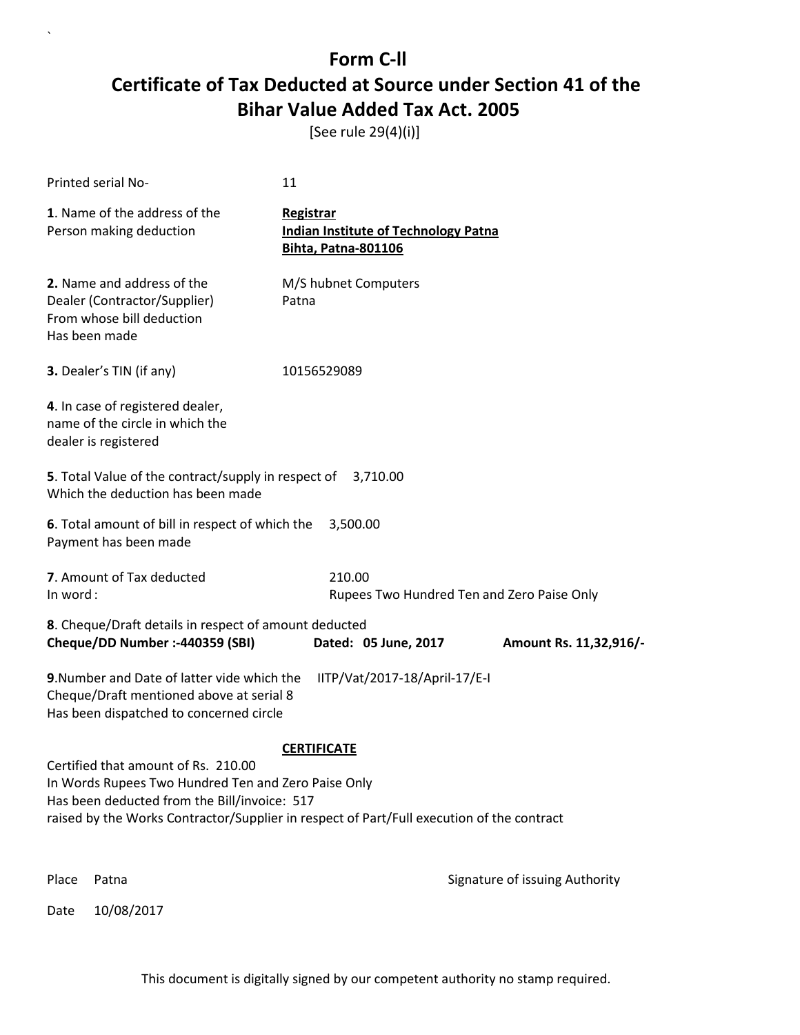[See rule 29(4)(i)]

| Printed serial No-                                                                                                                                                                                                                      | 11                                                                                     |                                |
|-----------------------------------------------------------------------------------------------------------------------------------------------------------------------------------------------------------------------------------------|----------------------------------------------------------------------------------------|--------------------------------|
| 1. Name of the address of the<br>Person making deduction                                                                                                                                                                                | Registrar<br><b>Indian Institute of Technology Patna</b><br><b>Bihta, Patna-801106</b> |                                |
| 2. Name and address of the<br>Dealer (Contractor/Supplier)<br>From whose bill deduction<br>Has been made                                                                                                                                | M/S hubnet Computers<br>Patna                                                          |                                |
| 3. Dealer's TIN (if any)                                                                                                                                                                                                                | 10156529089                                                                            |                                |
| 4. In case of registered dealer,<br>name of the circle in which the<br>dealer is registered                                                                                                                                             |                                                                                        |                                |
| 5. Total Value of the contract/supply in respect of<br>Which the deduction has been made                                                                                                                                                | 3,710.00                                                                               |                                |
| 6. Total amount of bill in respect of which the<br>Payment has been made                                                                                                                                                                | 3,500.00                                                                               |                                |
| 7. Amount of Tax deducted<br>In word:                                                                                                                                                                                                   | 210.00<br>Rupees Two Hundred Ten and Zero Paise Only                                   |                                |
| 8. Cheque/Draft details in respect of amount deducted<br>Cheque/DD Number :- 440359 (SBI)                                                                                                                                               | Dated: 05 June, 2017                                                                   | Amount Rs. 11,32,916/-         |
| 9. Number and Date of latter vide which the<br>Cheque/Draft mentioned above at serial 8<br>Has been dispatched to concerned circle                                                                                                      | IITP/Vat/2017-18/April-17/E-I                                                          |                                |
|                                                                                                                                                                                                                                         | <b>CERTIFICATE</b>                                                                     |                                |
| Certified that amount of Rs. 210.00<br>In Words Rupees Two Hundred Ten and Zero Paise Only<br>Has been deducted from the Bill/invoice: 517<br>raised by the Works Contractor/Supplier in respect of Part/Full execution of the contract |                                                                                        |                                |
| Place<br>Patna                                                                                                                                                                                                                          |                                                                                        | Signature of issuing Authority |

Date 10/08/2017

 $\overline{\phantom{a}}$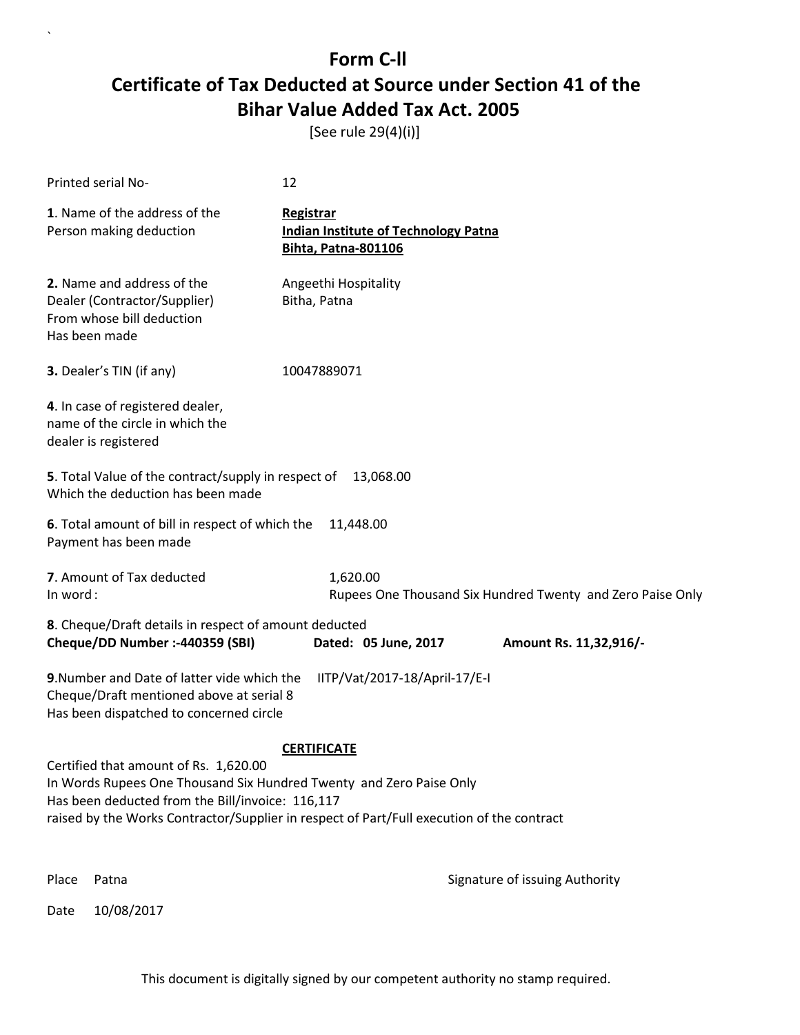[See rule 29(4)(i)]

| Printed serial No-                                                                                                                                                                                                                                                                  | 12                                                                                            |  |  |
|-------------------------------------------------------------------------------------------------------------------------------------------------------------------------------------------------------------------------------------------------------------------------------------|-----------------------------------------------------------------------------------------------|--|--|
| 1. Name of the address of the<br>Person making deduction                                                                                                                                                                                                                            | <b>Registrar</b><br><b>Indian Institute of Technology Patna</b><br><b>Bihta, Patna-801106</b> |  |  |
| 2. Name and address of the<br>Dealer (Contractor/Supplier)<br>From whose bill deduction<br>Has been made                                                                                                                                                                            | Angeethi Hospitality<br>Bitha, Patna                                                          |  |  |
| 3. Dealer's TIN (if any)                                                                                                                                                                                                                                                            | 10047889071                                                                                   |  |  |
| 4. In case of registered dealer,<br>name of the circle in which the<br>dealer is registered                                                                                                                                                                                         |                                                                                               |  |  |
| 5. Total Value of the contract/supply in respect of<br>Which the deduction has been made                                                                                                                                                                                            | 13,068.00                                                                                     |  |  |
| 6. Total amount of bill in respect of which the<br>11,448.00<br>Payment has been made                                                                                                                                                                                               |                                                                                               |  |  |
| 7. Amount of Tax deducted<br>In word:                                                                                                                                                                                                                                               | 1,620.00<br>Rupees One Thousand Six Hundred Twenty and Zero Paise Only                        |  |  |
| 8. Cheque/Draft details in respect of amount deducted<br>Cheque/DD Number :- 440359 (SBI)                                                                                                                                                                                           | Dated: 05 June, 2017<br>Amount Rs. 11,32,916/-                                                |  |  |
| 9. Number and Date of latter vide which the<br>Cheque/Draft mentioned above at serial 8<br>Has been dispatched to concerned circle                                                                                                                                                  | IITP/Vat/2017-18/April-17/E-I                                                                 |  |  |
| <b>CERTIFICATE</b><br>Certified that amount of Rs. 1,620.00<br>In Words Rupees One Thousand Six Hundred Twenty and Zero Paise Only<br>Has been deducted from the Bill/invoice: 116,117<br>raised by the Works Contractor/Supplier in respect of Part/Full execution of the contract |                                                                                               |  |  |
| Place<br>Patna                                                                                                                                                                                                                                                                      | Signature of issuing Authority                                                                |  |  |

Date 10/08/2017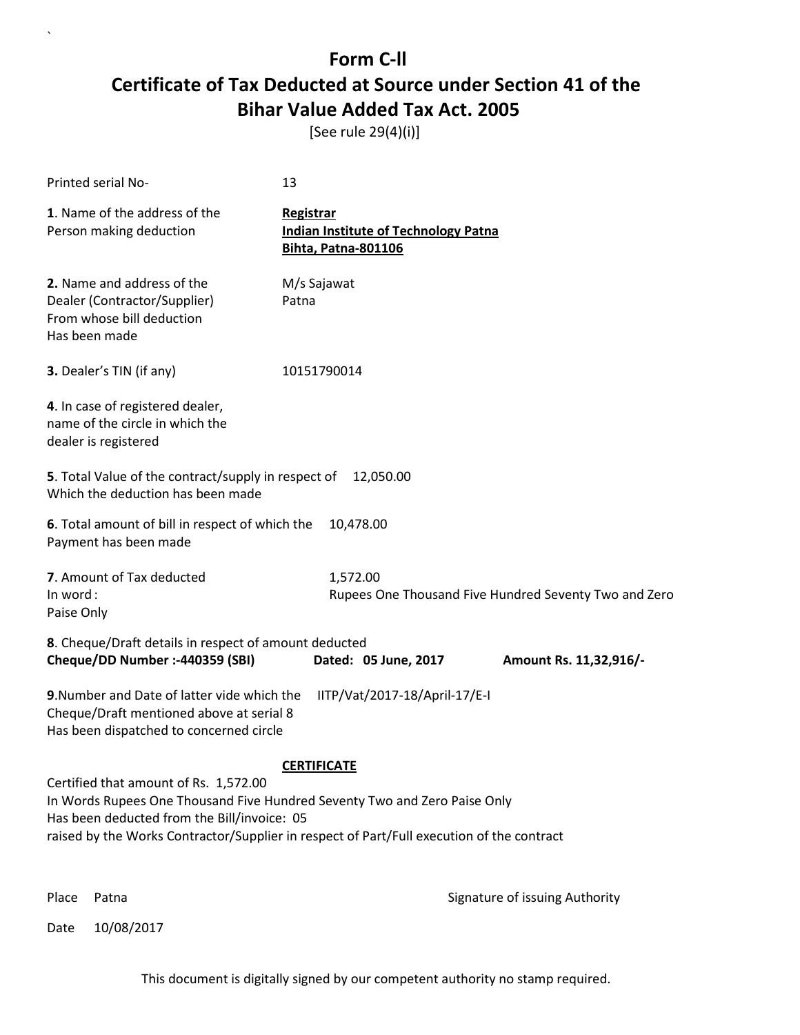[See rule 29(4)(i)]

| Printed serial No-                                                                                                                                                                                                                                                                   | 13                                                                                            |                                                       |
|--------------------------------------------------------------------------------------------------------------------------------------------------------------------------------------------------------------------------------------------------------------------------------------|-----------------------------------------------------------------------------------------------|-------------------------------------------------------|
| 1. Name of the address of the<br>Person making deduction                                                                                                                                                                                                                             | <b>Registrar</b><br><b>Indian Institute of Technology Patna</b><br><b>Bihta, Patna-801106</b> |                                                       |
| 2. Name and address of the<br>Dealer (Contractor/Supplier)<br>From whose bill deduction<br>Has been made                                                                                                                                                                             | M/s Sajawat<br>Patna                                                                          |                                                       |
| 3. Dealer's TIN (if any)                                                                                                                                                                                                                                                             | 10151790014                                                                                   |                                                       |
| 4. In case of registered dealer,<br>name of the circle in which the<br>dealer is registered                                                                                                                                                                                          |                                                                                               |                                                       |
| 5. Total Value of the contract/supply in respect of<br>Which the deduction has been made                                                                                                                                                                                             | 12,050.00                                                                                     |                                                       |
| 6. Total amount of bill in respect of which the<br>Payment has been made                                                                                                                                                                                                             | 10,478.00                                                                                     |                                                       |
| 7. Amount of Tax deducted<br>In word:<br>Paise Only                                                                                                                                                                                                                                  | 1,572.00                                                                                      | Rupees One Thousand Five Hundred Seventy Two and Zero |
| 8. Cheque/Draft details in respect of amount deducted<br>Cheque/DD Number :- 440359 (SBI)                                                                                                                                                                                            | Dated: 05 June, 2017                                                                          | Amount Rs. 11,32,916/-                                |
| 9. Number and Date of latter vide which the<br>Cheque/Draft mentioned above at serial 8<br>Has been dispatched to concerned circle                                                                                                                                                   | IITP/Vat/2017-18/April-17/E-I                                                                 |                                                       |
| <b>CERTIFICATE</b><br>Certified that amount of Rs. 1,572.00<br>In Words Rupees One Thousand Five Hundred Seventy Two and Zero Paise Only<br>Has been deducted from the Bill/invoice: 05<br>raised by the Works Contractor/Supplier in respect of Part/Full execution of the contract |                                                                                               |                                                       |

`

Place Patna **Property** Place Patna Signature of issuing Authority

Date 10/08/2017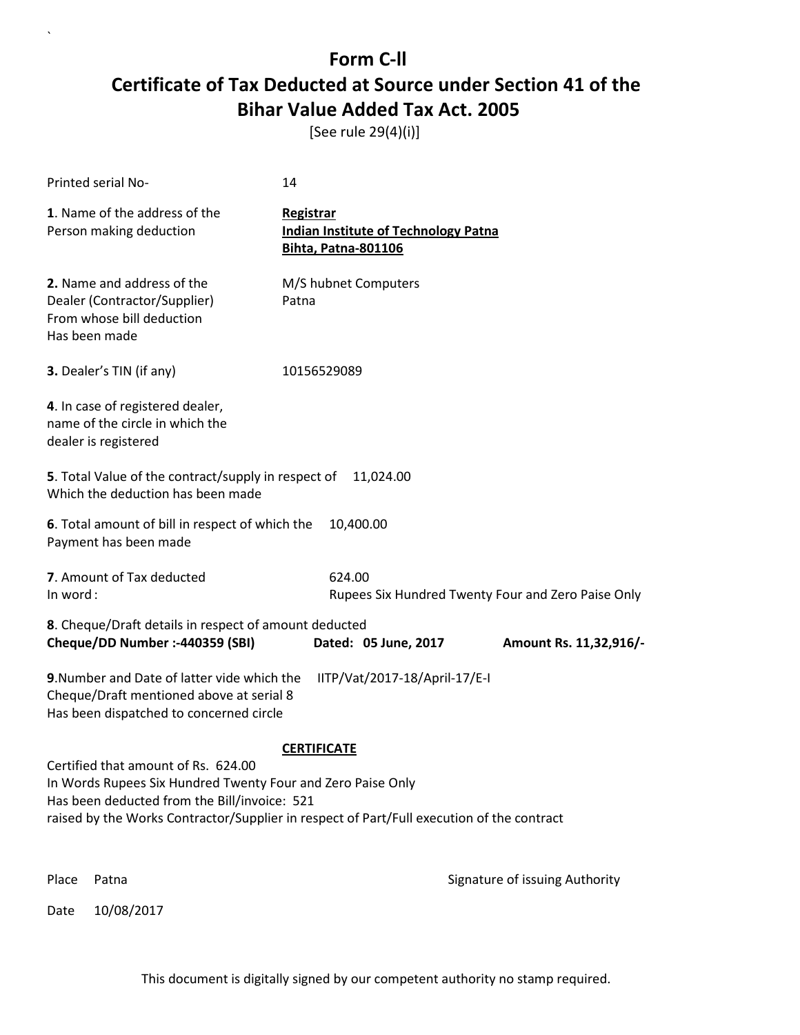[See rule 29(4)(i)]

 $\overline{\phantom{a}}$ 

|                                                                                                                                                                                                                                                                       | Printed serial No-                                                                                                                 | 14                                                                                     |                                                    |
|-----------------------------------------------------------------------------------------------------------------------------------------------------------------------------------------------------------------------------------------------------------------------|------------------------------------------------------------------------------------------------------------------------------------|----------------------------------------------------------------------------------------|----------------------------------------------------|
|                                                                                                                                                                                                                                                                       | 1. Name of the address of the<br>Person making deduction                                                                           | Registrar<br><b>Indian Institute of Technology Patna</b><br><b>Bihta, Patna-801106</b> |                                                    |
|                                                                                                                                                                                                                                                                       | 2. Name and address of the<br>Dealer (Contractor/Supplier)<br>From whose bill deduction<br>Has been made                           | M/S hubnet Computers<br>Patna                                                          |                                                    |
|                                                                                                                                                                                                                                                                       | 3. Dealer's TIN (if any)                                                                                                           | 10156529089                                                                            |                                                    |
|                                                                                                                                                                                                                                                                       | 4. In case of registered dealer,<br>name of the circle in which the<br>dealer is registered                                        |                                                                                        |                                                    |
| 5. Total Value of the contract/supply in respect of<br>11,024.00<br>Which the deduction has been made                                                                                                                                                                 |                                                                                                                                    |                                                                                        |                                                    |
| 6. Total amount of bill in respect of which the<br>10,400.00<br>Payment has been made                                                                                                                                                                                 |                                                                                                                                    |                                                                                        |                                                    |
| In word:                                                                                                                                                                                                                                                              | 7. Amount of Tax deducted                                                                                                          | 624.00                                                                                 | Rupees Six Hundred Twenty Four and Zero Paise Only |
|                                                                                                                                                                                                                                                                       | 8. Cheque/Draft details in respect of amount deducted<br>Cheque/DD Number :- 440359 (SBI)                                          | Dated: 05 June, 2017                                                                   | Amount Rs. 11,32,916/-                             |
|                                                                                                                                                                                                                                                                       | 9. Number and Date of latter vide which the<br>Cheque/Draft mentioned above at serial 8<br>Has been dispatched to concerned circle | IITP/Vat/2017-18/April-17/E-I                                                          |                                                    |
| <b>CERTIFICATE</b><br>Certified that amount of Rs. 624.00<br>In Words Rupees Six Hundred Twenty Four and Zero Paise Only<br>Has been deducted from the Bill/invoice: 521<br>raised by the Works Contractor/Supplier in respect of Part/Full execution of the contract |                                                                                                                                    |                                                                                        |                                                    |
| Place                                                                                                                                                                                                                                                                 | Patna                                                                                                                              |                                                                                        | Signature of issuing Authority                     |
| Date                                                                                                                                                                                                                                                                  | 10/08/2017                                                                                                                         |                                                                                        |                                                    |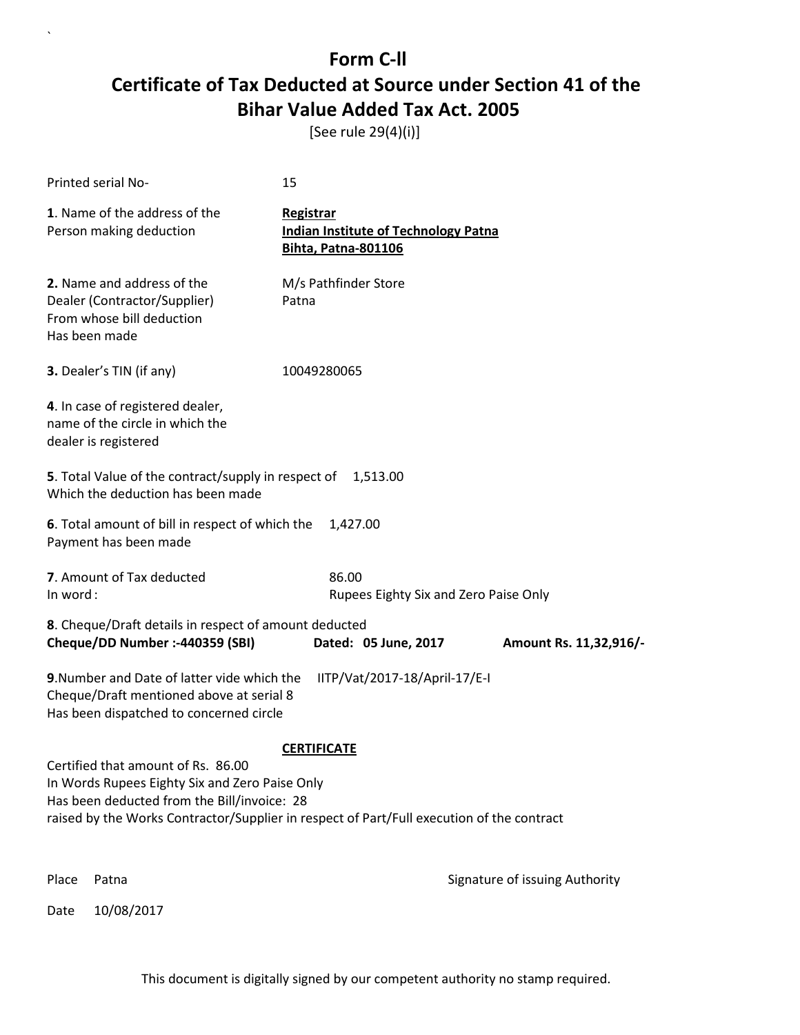[See rule 29(4)(i)]

| Printed serial No-                                                                                                                  | 15                                                                                        |  |
|-------------------------------------------------------------------------------------------------------------------------------------|-------------------------------------------------------------------------------------------|--|
| 1. Name of the address of the<br>Person making deduction                                                                            | Registrar<br><b>Indian Institute of Technology Patna</b><br><b>Bihta, Patna-801106</b>    |  |
| 2. Name and address of the<br>Dealer (Contractor/Supplier)<br>From whose bill deduction<br>Has been made                            | M/s Pathfinder Store<br>Patna                                                             |  |
| 3. Dealer's TIN (if any)                                                                                                            | 10049280065                                                                               |  |
| 4. In case of registered dealer,<br>name of the circle in which the<br>dealer is registered                                         |                                                                                           |  |
| 5. Total Value of the contract/supply in respect of<br>1,513.00<br>Which the deduction has been made                                |                                                                                           |  |
| 6. Total amount of bill in respect of which the<br>Payment has been made                                                            | 1,427.00                                                                                  |  |
| 7. Amount of Tax deducted<br>In word:                                                                                               | 86.00<br>Rupees Eighty Six and Zero Paise Only                                            |  |
| 8. Cheque/Draft details in respect of amount deducted<br>Cheque/DD Number :- 440359 (SBI)                                           | Dated: 05 June, 2017<br>Amount Rs. 11,32,916/-                                            |  |
| 9. Number and Date of latter vide which the<br>Cheque/Draft mentioned above at serial 8<br>Has been dispatched to concerned circle  | IITP/Vat/2017-18/April-17/E-I                                                             |  |
|                                                                                                                                     | <b>CERTIFICATE</b>                                                                        |  |
| Certified that amount of Rs. 86.00<br>In Words Rupees Eighty Six and Zero Paise Only<br>Has been deducted from the Bill/invoice: 28 | raised by the Works Contractor/Supplier in respect of Part/Full execution of the contract |  |
| Place<br>Patna                                                                                                                      | Signature of issuing Authority                                                            |  |

Date 10/08/2017

 $\overline{\phantom{a}}$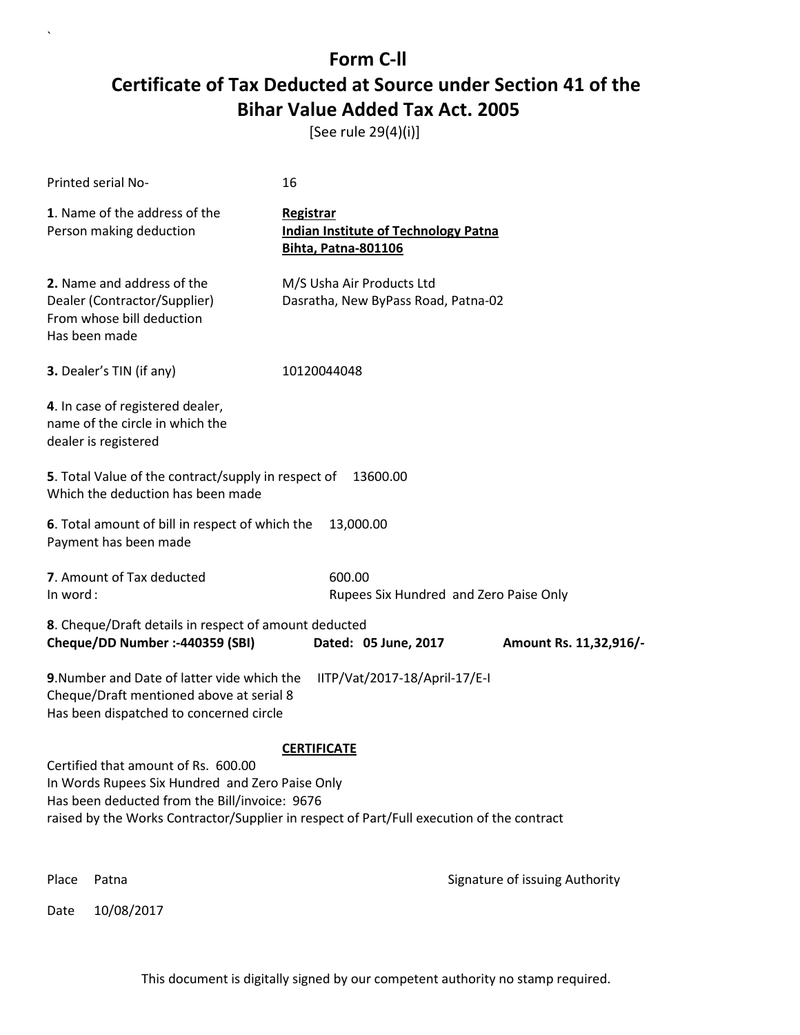[See rule 29(4)(i)]

| Printed serial No-                                                                                                                                                                                                                   | 16                                                                                            |                                |
|--------------------------------------------------------------------------------------------------------------------------------------------------------------------------------------------------------------------------------------|-----------------------------------------------------------------------------------------------|--------------------------------|
| 1. Name of the address of the<br>Person making deduction                                                                                                                                                                             | <b>Registrar</b><br><b>Indian Institute of Technology Patna</b><br><b>Bihta, Patna-801106</b> |                                |
| 2. Name and address of the<br>Dealer (Contractor/Supplier)<br>From whose bill deduction<br>Has been made                                                                                                                             | M/S Usha Air Products Ltd<br>Dasratha, New ByPass Road, Patna-02                              |                                |
| 3. Dealer's TIN (if any)                                                                                                                                                                                                             | 10120044048                                                                                   |                                |
| 4. In case of registered dealer,<br>name of the circle in which the<br>dealer is registered                                                                                                                                          |                                                                                               |                                |
| 5. Total Value of the contract/supply in respect of<br>Which the deduction has been made                                                                                                                                             | 13600.00                                                                                      |                                |
| 6. Total amount of bill in respect of which the<br>Payment has been made                                                                                                                                                             | 13,000.00                                                                                     |                                |
| 7. Amount of Tax deducted<br>In word:                                                                                                                                                                                                | 600.00<br>Rupees Six Hundred and Zero Paise Only                                              |                                |
| 8. Cheque/Draft details in respect of amount deducted<br>Cheque/DD Number :- 440359 (SBI)                                                                                                                                            | Dated: 05 June, 2017                                                                          | Amount Rs. 11,32,916/-         |
| 9. Number and Date of latter vide which the<br>Cheque/Draft mentioned above at serial 8<br>Has been dispatched to concerned circle                                                                                                   | IITP/Vat/2017-18/April-17/E-I                                                                 |                                |
|                                                                                                                                                                                                                                      | <b>CERTIFICATE</b>                                                                            |                                |
| Certified that amount of Rs. 600.00<br>In Words Rupees Six Hundred and Zero Paise Only<br>Has been deducted from the Bill/invoice: 9676<br>raised by the Works Contractor/Supplier in respect of Part/Full execution of the contract |                                                                                               |                                |
| Place<br>Patna                                                                                                                                                                                                                       |                                                                                               | Signature of issuing Authority |

Date 10/08/2017

 $\overline{\phantom{a}}$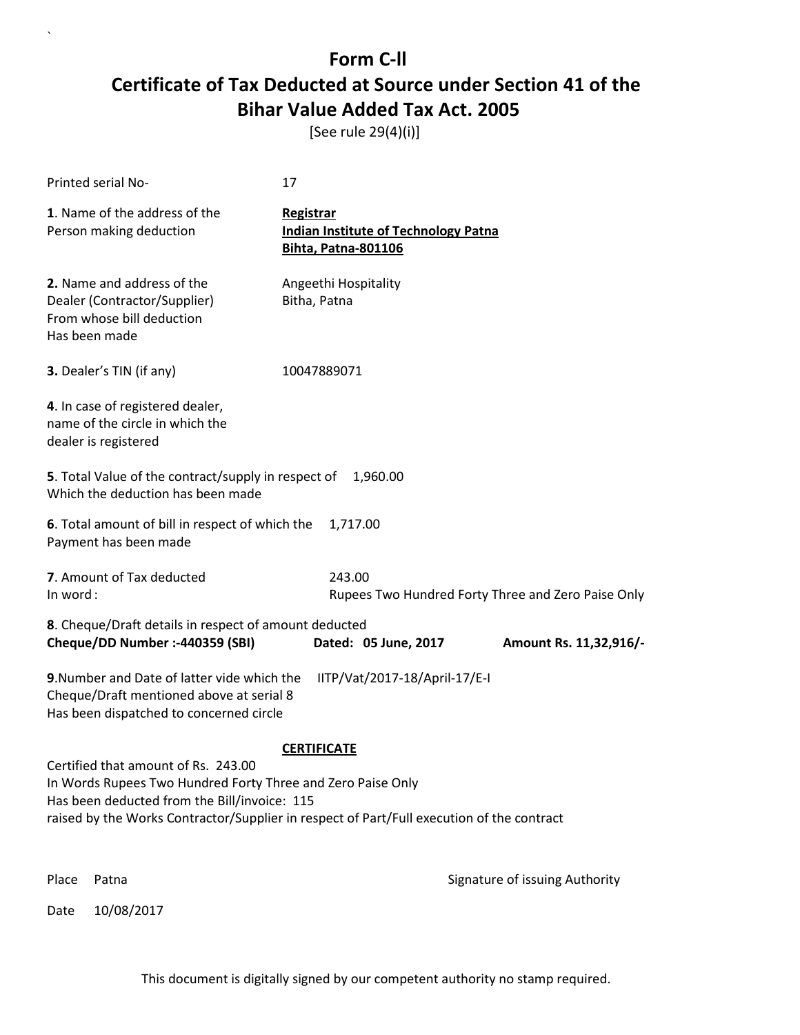[See rule 29(4)(i)]

| Printed serial No-                                                                                                                                                                                                                              | 17                                                                                            |                                                    |
|-------------------------------------------------------------------------------------------------------------------------------------------------------------------------------------------------------------------------------------------------|-----------------------------------------------------------------------------------------------|----------------------------------------------------|
| 1. Name of the address of the<br>Person making deduction                                                                                                                                                                                        | <b>Registrar</b><br><b>Indian Institute of Technology Patna</b><br><b>Bihta, Patna-801106</b> |                                                    |
| 2. Name and address of the<br>Dealer (Contractor/Supplier)<br>From whose bill deduction<br>Has been made                                                                                                                                        | Angeethi Hospitality<br>Bitha, Patna                                                          |                                                    |
| 3. Dealer's TIN (if any)                                                                                                                                                                                                                        | 10047889071                                                                                   |                                                    |
| 4. In case of registered dealer,<br>name of the circle in which the<br>dealer is registered                                                                                                                                                     |                                                                                               |                                                    |
| 5. Total Value of the contract/supply in respect of<br>Which the deduction has been made                                                                                                                                                        | 1,960.00                                                                                      |                                                    |
| 6. Total amount of bill in respect of which the<br>Payment has been made                                                                                                                                                                        | 1,717.00                                                                                      |                                                    |
| 7. Amount of Tax deducted<br>In word:                                                                                                                                                                                                           | 243.00                                                                                        | Rupees Two Hundred Forty Three and Zero Paise Only |
| 8. Cheque/Draft details in respect of amount deducted<br>Cheque/DD Number :- 440359 (SBI)                                                                                                                                                       | Dated: 05 June, 2017                                                                          | Amount Rs. 11,32,916/-                             |
| 9. Number and Date of latter vide which the<br>Cheque/Draft mentioned above at serial 8<br>Has been dispatched to concerned circle                                                                                                              | IITP/Vat/2017-18/April-17/E-I                                                                 |                                                    |
|                                                                                                                                                                                                                                                 | <b>CERTIFICATE</b>                                                                            |                                                    |
| Certified that amount of Rs. 243.00<br>In Words Rupees Two Hundred Forty Three and Zero Paise Only<br>Has been deducted from the Bill/invoice: 115<br>raised by the Works Contractor/Supplier in respect of Part/Full execution of the contract |                                                                                               |                                                    |
| Place<br>Patna                                                                                                                                                                                                                                  |                                                                                               | Signature of issuing Authority                     |

Date 10/08/2017

 $\overline{\phantom{a}}$